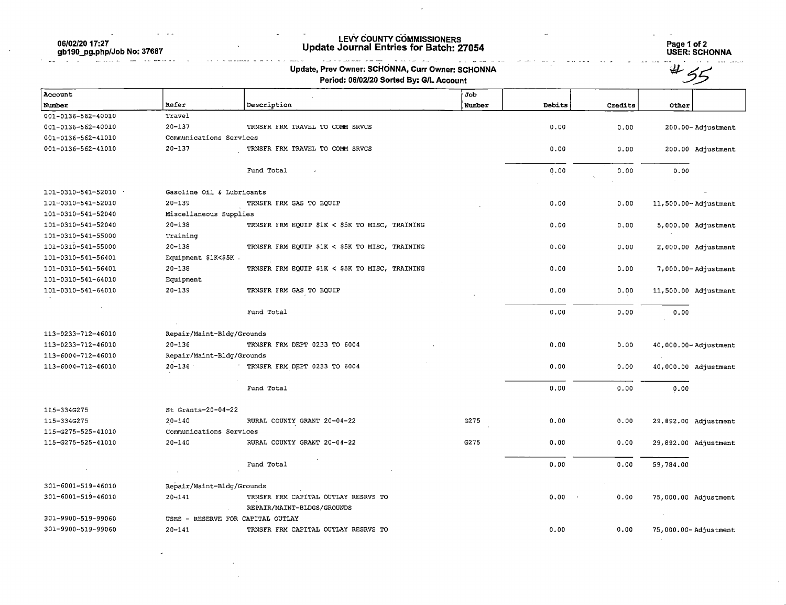$\sim$ 06/02/20 17:27 gb190\_pg.php/Job No: 37687

 $\sim 100$  km s  $^{-1}$ 

**San Strainer** 

مصداد والمناوب والمراجع

#### LEVY COUNTY COMMISSIONERS Update Journal Entries for Batch: 27054

 $\sim$   $\omega$ 

Page 1 of 2 USER: SCHONNA

the second control of the second control of

|                    |                           | Update, Prev Owner: SCHONNA, Curr Owner: SCHONNA |        |        |         | 455                  |
|--------------------|---------------------------|--------------------------------------------------|--------|--------|---------|----------------------|
|                    |                           | Period: 06/02/20 Sorted By: G/L Account          |        |        |         |                      |
| Account            |                           |                                                  | Job    |        |         |                      |
| Number             | Refer                     | Description                                      | Number | Debits | Credits | Other                |
| 001-0136-562-40010 | Travel                    |                                                  |        |        |         |                      |
| 001-0136-562-40010 | $20 - 137$                | TRNSFR FRM TRAVEL TO COMM SRVCS                  |        | 0.00   | 0.00    | 200.00-Adjustment    |
| 001-0136-562-41010 | Communications Services   |                                                  |        |        |         |                      |
| 001-0136-562-41010 | $20 - 137$                | TRNSFR FRM TRAVEL TO COMM SRVCS                  |        | 0.00   | 0.00    | 200.00 Adjustment    |
|                    |                           | Fund Total                                       |        | 0.00   | 0.00    | 0.00                 |
| 101-0310-541-52010 | Gasoline Oil & Lubricants |                                                  |        |        |         |                      |
| 101-0310-541-52010 | $20 - 139$                | TRNSFR FRM GAS TO EQUIP                          |        | 0.00   | 0.00    | 11,500.00-Adjustment |
| 101-0310-541-52040 | Miscellaneous Supplies    |                                                  |        |        |         |                      |
| 101-0310-541-52040 | $20 - 138$                | TRNSFR FRM EQUIP \$1K < \$5K TO MISC, TRAINING   |        | 0.00   | 0.00    | 5,000.00 Adjustment  |
| 101-0310-541-55000 | Training                  |                                                  |        |        |         |                      |
| 101-0310-541-55000 | $20 - 138$                | TRNSFR FRM EQUIP \$1K < \$5K TO MISC, TRAINING   |        | 0.00   | 0.00    | 2,000.00 Adjustment  |
| 101-0310-541-56401 | Equipment \$1K<\$5K.      |                                                  |        |        |         |                      |
| 101-0310-541-56401 | $20 - 138$                | TRNSFR FRM EQUIP \$1K < \$5K TO MISC, TRAINING   |        | 0.00   | 0.00    | 7,000.00-Adjustment  |
| 101-0310-541-64010 | Equipment                 |                                                  |        |        |         |                      |
| 101-0310-541-64010 | $20 - 139$                | TRNSFR FRM GAS TO EQUIP                          |        | 0.00   | 0.00    | 11,500.00 Adjustment |
|                    |                           | Fund Total                                       |        | 0.00   | 0.00    | 0.00                 |
| 113-0233-712-46010 | Repair/Maint-Bldg/Grounds |                                                  |        |        |         |                      |
| 113-0233-712-46010 | $20 - 136$                | TRNSFR FRM DEPT 0233 TO 6004                     |        | 0.00   | 0.00    | 40,000.00-Adjustment |
| 113-6004-712-46010 | Repair/Maint-Bldg/Grounds |                                                  |        |        |         |                      |
| 113-6004-712-46010 | $20 - 136$                | TRNSFR FRM DEPT 0233 TO 6004                     |        | 0.00   | 0.00    | 40,000.00 Adjustment |
|                    |                           | Fund Total                                       |        | 0.00   | 0.00    | 0.00                 |
| 115-334G275        | St Grants-20-04-22        |                                                  |        |        |         |                      |
| 115-334G275        | $20 - 140$                | RURAL COUNTY GRANT 20-04-22                      | G275   | 0.00   | 0.00    | 29,892.00 Adjustment |
| 115-G275-525-41010 | Communications Services   |                                                  |        |        |         |                      |
| 115-G275-525-41010 | $20 - 140$                | RURAL COUNTY GRANT 20-04-22                      | G275   | 0.00   | 0.00    | 29,892.00 Adjustment |
|                    |                           | Fund Total                                       |        | 0.00   | 0.00    | 59,784.00            |
| 301-6001-519-46010 | Repair/Maint-Bldg/Grounds |                                                  |        |        |         |                      |
| 301-6001-519-46010 | $20 - 141$                | TRNSFR FRM CAPITAL OUTLAY RESRVS TO              |        | 0.00   | 0.00    | 75,000.00 Adjustment |
|                    |                           | REPAIR/MAINT-BLDGS/GROUNDS                       |        |        |         |                      |
| 301-9900-519-99060 | <b>USES</b>               | - RESERVE FOR CAPITAL OUTLAY                     |        |        |         |                      |
| 301-9900-519-99060 | $20 - 141$                | TRNSFR FRM CAPITAL OUTLAY RESRVS TO              |        | 0.00   | 0.00    | 75,000.00-Adjustment |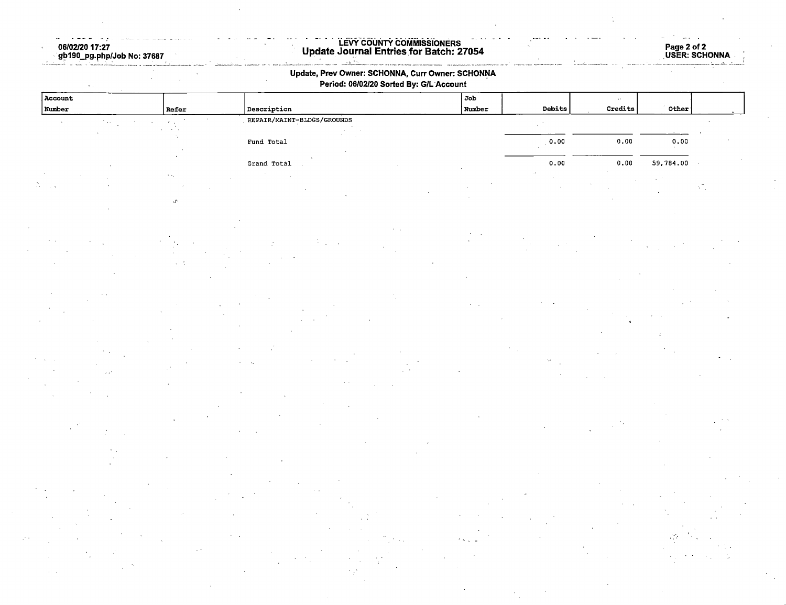06/02/20 17:27

gb190\_pg.php/Job No: 37687

# LEVY COUNTY COMMISSIONERS Update Journal Entries for Batch; 27054 Page 2 of 2

# Page 2 of 2<br>USER: SCHONNA

#### Update, Prev Owner: SCHONNA, Curr Owner: SCHONNA Period: 06/02/20 Sorted By: G/L Account

| Account      |                               |                            | Job    |        | $\sim$ $\sim$ |           |  |
|--------------|-------------------------------|----------------------------|--------|--------|---------------|-----------|--|
| Number       | Refer                         | <b>Description</b>         | Number | Debits | Credits       | Other     |  |
| <b>Track</b> | and the state of the state of | REPAIR/MAINT-BLDGS/GROUNDS |        |        |               |           |  |
|              |                               | Fund Total                 |        | 0.00   | 0.00          | 0.00      |  |
|              |                               | Grand Total                |        | 0.00   | 0.00          | 59,784.00 |  |
| the country  | <b>SAMPLE</b>                 |                            |        |        |               |           |  |

 $\mathcal{S}$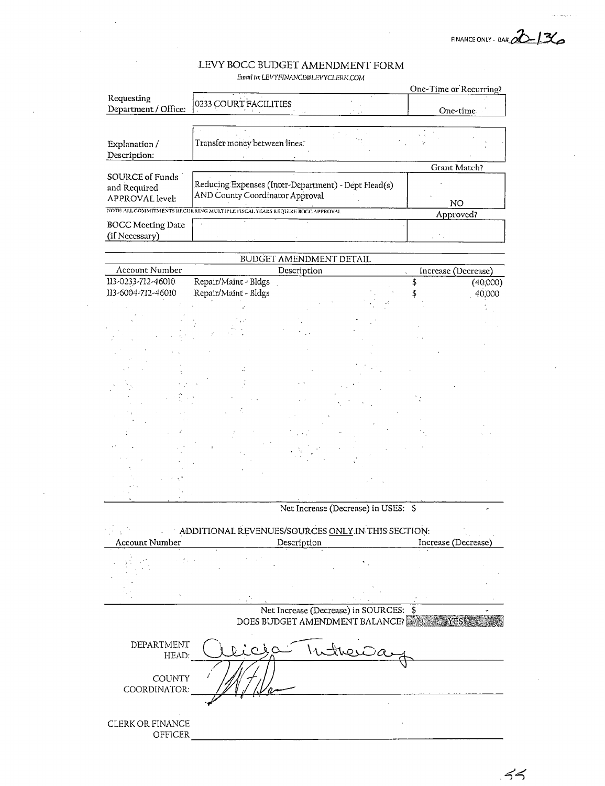FINANCE ONLY - BAH 2018

 $\mathcal{L}_{\text{max}}$ 

 $55$ 

# LEVY BOCC BUDGET AMENDMENT FORM

Email to: LEVYFINANCE@LEVYCLERK.COM

|                                            |                                                                                        | One-Time or Recurring? |
|--------------------------------------------|----------------------------------------------------------------------------------------|------------------------|
| Requesting<br>Department / Office:         | 0233 COURT FACILITIES                                                                  | One-time               |
|                                            |                                                                                        |                        |
| Explanation /<br>Description:              | Transfer money between lines.                                                          |                        |
|                                            |                                                                                        | Grant Match?           |
| SOURCE of Funds<br>and Required            | Reducing Expenses (Inter-Department) - Dept Head(s)<br>AND County Coordinator Approval |                        |
| <b>APPROVAL</b> level:                     |                                                                                        | NO.                    |
|                                            | NOTE: ALL COMMITMENTS RECURRING MULTIPLE FISCAL YEARS REQUIRE BOCC APPROVAL            | Approved?              |
| <b>BOCC Meeting Date</b><br>(if Necessary) |                                                                                        |                        |

|                    |                      | BUDGET AMENDMENT DETAIL |    |                     |
|--------------------|----------------------|-------------------------|----|---------------------|
| Account Number     |                      | Description             |    | Increase (Decrease) |
| 113-0233-712-46010 | Repair/Maint - Bldgs |                         | \$ | (40,000)            |
| 113-6004-712-46010 | Repair/Maint - Bldgs |                         |    | 40,000              |
|                    |                      |                         |    |                     |
|                    |                      |                         |    |                     |
|                    |                      |                         |    |                     |
|                    |                      |                         |    |                     |
|                    |                      |                         |    |                     |
|                    |                      |                         |    |                     |
|                    |                      |                         |    |                     |
|                    |                      |                         |    |                     |
|                    |                      |                         |    |                     |
|                    |                      |                         |    |                     |
|                    |                      |                         |    |                     |
|                    |                      |                         |    |                     |
|                    |                      |                         |    |                     |

Net Increase (Decrease) in USES: \$

### ADDITIONAL REVENUES/SOURCES ONLY IN THIS SECTION:

| Account Number                            | Description                                      |                                        | Increase (Decrease) |
|-------------------------------------------|--------------------------------------------------|----------------------------------------|---------------------|
| 医胃肌体                                      |                                                  |                                        |                     |
|                                           | $\mathbf{v} = \mathbf{v}^T \mathbf{v}$ , we have |                                        |                     |
|                                           |                                                  | Net Increase (Decrease) in SOURCES: \$ |                     |
|                                           |                                                  | DOES BUDGET AMENDMENT BALANCE?         |                     |
|                                           |                                                  |                                        |                     |
| DEPARTMENT<br>HEAD:                       |                                                  | reioa                                  |                     |
| <b>COUNTY</b><br>COORDINATOR:             |                                                  |                                        |                     |
|                                           |                                                  |                                        |                     |
| <b>CLERK OR FINANCE</b><br><b>OFFICER</b> |                                                  |                                        |                     |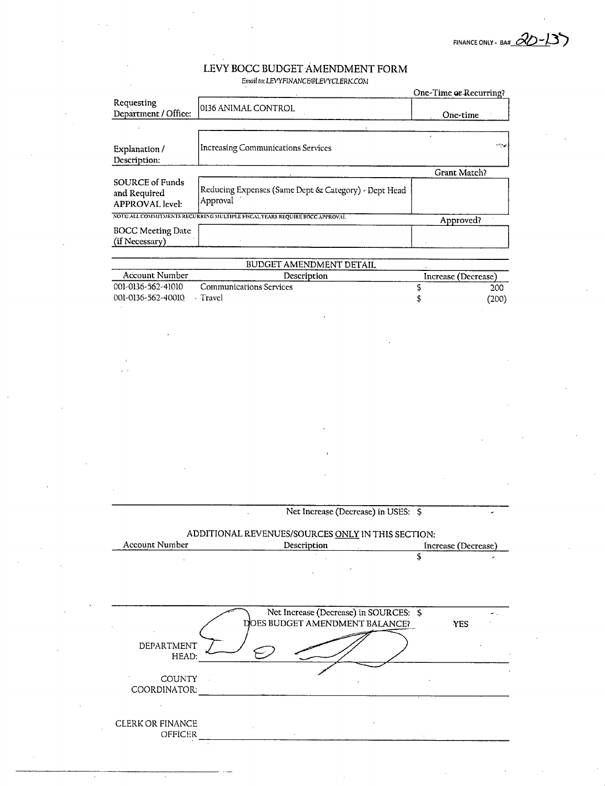FINANCE ONLY - BAH  $20 - 13$ 

 $\overline{\phantom{a}}$ 

# LEVY BOCC BUDGET AMENDMENT FORM

Email to: LEVYFINANCE@LEVYCLERK.COM

|                                                                  |                                                                            | One-Time or Recurring? |       |
|------------------------------------------------------------------|----------------------------------------------------------------------------|------------------------|-------|
| Requesting<br>Department / Office:                               | 0136 ANIMAL CONTROL                                                        | One-time               |       |
|                                                                  |                                                                            |                        |       |
| Explanation /<br>Description:                                    | Increasing Communications Services                                         |                        | ويتدد |
|                                                                  |                                                                            | Grant Match?           |       |
| <b>SOURCE of Funds</b><br>and Required<br><b>APPROVAL</b> level: | Reducing Expenses (Same Dept & Category) - Dept Head<br>Approval           |                        |       |
|                                                                  | NOTE ALL COMMITMENTS RECURRING MULTIPLE FISCAL YEARS REQUIRE BOCC APPROVAL | Approved?              |       |
| <b>BOCC Meeting Date</b><br>(if Necessary)                       |                                                                            |                        |       |
|                                                                  | BUDGET AMENDMENT DETAIL                                                    |                        |       |
| <b>Account Number</b>                                            | Description                                                                | Increase (Decrease)    |       |
| 001-0136-562-41010                                               | <b>Communications Services</b>                                             |                        | 200   |
| 001-0136-562-40010                                               | Travel                                                                     |                        | (200) |

Net Increase (Decrease) in USES: \$

ADDITIONAL REVENUES/SOURCES ONLY IN THIS SECTION:

| <b>Account Number</b>                     | Description                            | Increase (Decrease) |  |
|-------------------------------------------|----------------------------------------|---------------------|--|
| ÷.                                        |                                        | \$                  |  |
|                                           |                                        |                     |  |
|                                           | Net Increase (Decrease) in SOURCES: \$ |                     |  |
|                                           | DOES BUDGET AMENDMENT BALANCE?         | <b>YES</b>          |  |
| DEPARTMENT<br>HEAD:                       |                                        |                     |  |
|                                           |                                        |                     |  |
| <b>COUNTY</b><br>COORDINATOR:             |                                        |                     |  |
|                                           |                                        |                     |  |
| <b>CLERK OR FINANCE</b><br><b>OFFICER</b> |                                        |                     |  |
|                                           |                                        |                     |  |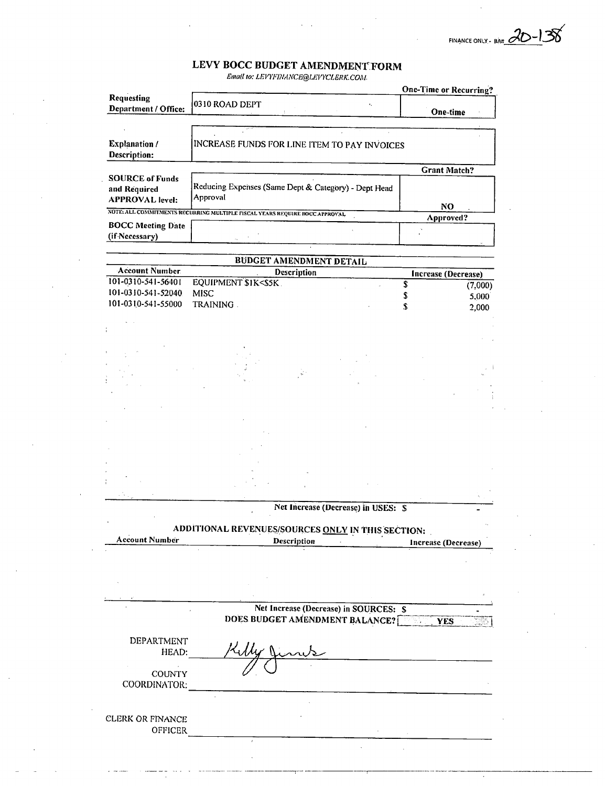FINANCE ONLY - BAT  $20$  -138

### LEVY BOCC BUDGET AMENDMENT FORM

Email to: LEVYFINANCE@LEVYCLERK.COM.

|                                                                  |                                                                             | One-Time or Recurring? |
|------------------------------------------------------------------|-----------------------------------------------------------------------------|------------------------|
| Requesting<br>Department / Office:                               | 0310 ROAD DEPT<br>$\epsilon_{\rm s}$                                        | One-time               |
|                                                                  |                                                                             |                        |
|                                                                  |                                                                             |                        |
| <b>Explanation</b> /                                             | INCREASE FUNDS FOR LINE ITEM TO PAY INVOICES                                |                        |
| Description:                                                     |                                                                             |                        |
|                                                                  |                                                                             | <b>Grant Match?</b>    |
| <b>SOURCE of Funds</b><br>and Required<br><b>APPROVAL</b> level: | Reducing Expenses (Same Dept & Category) - Dept Head<br>Approval            |                        |
|                                                                  | NOTE: ALL COMMITMENTS RECURRING MULTIPLE FISCAL YEARS REQUIRE BOCC APPROVAL | NO                     |
|                                                                  |                                                                             | Approved?              |
| <b>BOCC</b> Meeting Date                                         |                                                                             |                        |
| (if Necessary)                                                   | $\mathcal{L}_{\mathcal{M}}$                                                 |                        |
|                                                                  | <b>BUDGET AMENDMENT DETAIL</b>                                              |                        |
| $A = 100$ and $A = 100$                                          |                                                                             |                        |

| Account Number     | <b>Description</b>                     |  | Increase (Decrease) |         |
|--------------------|----------------------------------------|--|---------------------|---------|
|                    | 101-0310-541-56401 EQUIPMENT \$1K<\$5K |  |                     | (7.000) |
| 101-0310-541-52040 | MISC                                   |  |                     | 5.000   |
| 101-0310-541-55000 | TRAINING .                             |  |                     | 2.000   |

Net Increase (Decrease) in USES: \$

#### ADDITIONAL REVENUES/SOURCES ONLY IN THIS SECTION:

 $\overline{a}$ 

| Account Number | <b>Description</b> | Increase (Decrease) |
|----------------|--------------------|---------------------|
|                |                    |                     |
|                |                    |                     |
|                |                    |                     |

|                                           | Net Increase (Decrease) in SOURCES: \$       |
|-------------------------------------------|----------------------------------------------|
|                                           | DOES BUDGET AMENDMENT BALANCE?<br><b>YES</b> |
| DEPARTMENT<br>HEAD:                       | innte                                        |
| <b>COUNTY</b><br>COORDINATOR:             |                                              |
|                                           |                                              |
| <b>CLERK OR FINANCE</b><br><b>OFFICER</b> |                                              |
|                                           |                                              |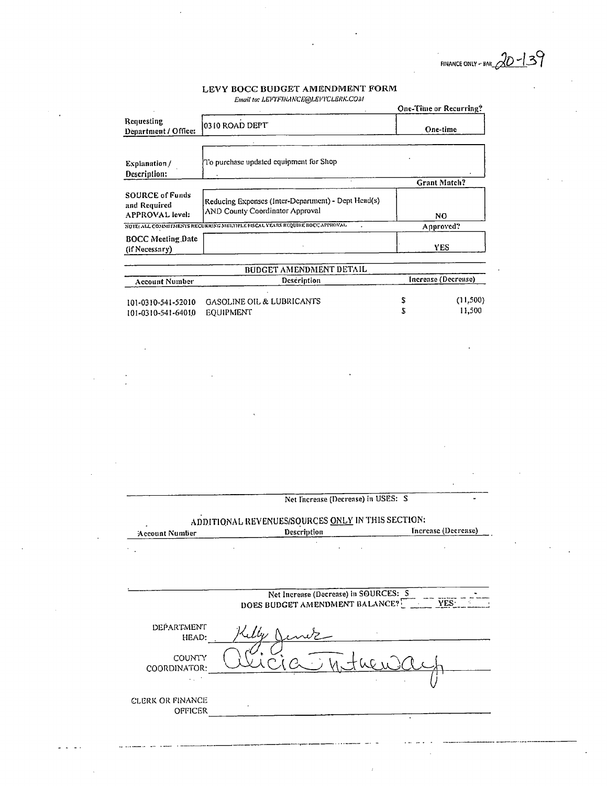FINANCE ONLY - BAH  $20$  -139

### LEVY BOCC BUDGET AMENDMENT FORM

| <b>Email to: LEFTFINANCE@LEFTCLERK.COM</b> |  |
|--------------------------------------------|--|
|--------------------------------------------|--|

|                                                             |                                                                                                                                                                       | One-Time or Recurring?        |
|-------------------------------------------------------------|-----------------------------------------------------------------------------------------------------------------------------------------------------------------------|-------------------------------|
| Requesting<br>Department / Office:                          | 0310 ROAD DEPT                                                                                                                                                        | One-time                      |
| Explanation/<br>Description:                                | To purchase updated equipment for Shop                                                                                                                                | <b>Grant Match?</b>           |
| <b>SOURCE of Funds</b><br>and Required<br>APPROVAL level:   | Reducing Expenses (Inter-Department) - Dept Hend(s)<br>AND County Coordinator Approval<br>NOTE: ALL COMMITMENTS RECURRING MULTIPLE FISCAL VEARS REQUIRE BOCC APPROVAL | NO                            |
| <b>BOCC Meeting Date</b><br>(if Necessary)                  |                                                                                                                                                                       | Approved?<br><b>YES</b>       |
|                                                             | BUDGET AMENDMENT DETAIL                                                                                                                                               |                               |
| <b>Account Number</b>                                       | Description                                                                                                                                                           | Increase (Decrease)           |
| 101-0310-541-52010<br>101-0310-541-64010                    | GASOLINE OIL & LUBRICANTS<br><b>EQUIPMENT</b>                                                                                                                         | \$<br>(11,500)<br>11,500<br>T |
|                                                             |                                                                                                                                                                       |                               |
|                                                             | Net Increase (Decrease) in USES: S                                                                                                                                    |                               |
|                                                             | ADDITIONAL REVENUES/SOURCES ONLY IN THIS SECTION:                                                                                                                     | Increase (Decrease)           |
| Account Number                                              | Description                                                                                                                                                           |                               |
|                                                             | Net Increase (Decrease) in SOURCES: S<br>DOES BUDGET AMENDMENT BALANCE?                                                                                               | YES <sup>.</sup>              |
| <b>DEPARTMENT</b><br>HEAD:<br><b>COUNTY</b><br>COORDINATOR: |                                                                                                                                                                       |                               |
| <b>CLERK OR FINANCE</b><br><b>OFFICER</b>                   |                                                                                                                                                                       |                               |

 $\sim$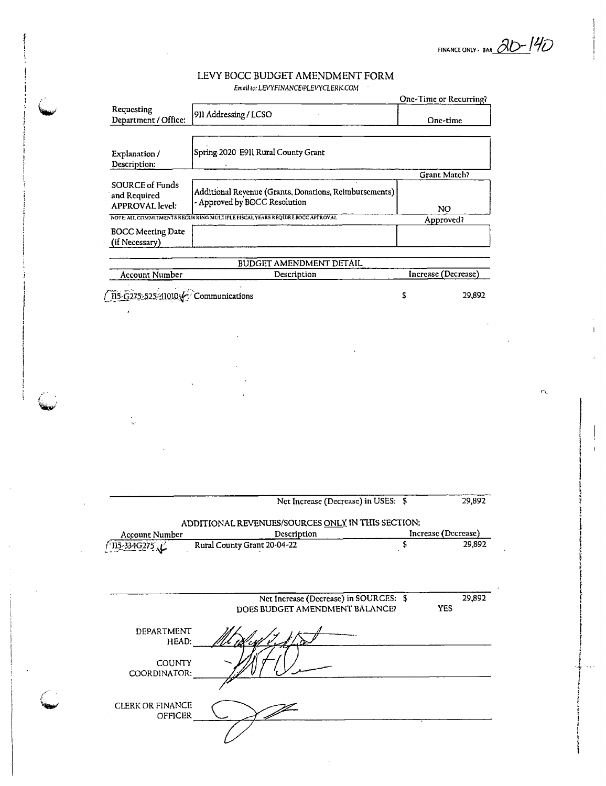FINANCE ONLY - BAN  $\partial D$  -  $\varphi$ 

 $\tilde{\mathcal{L}}$ 

### LEW BOCC BUDGET AMENDMENT FORM Email to: LEVYFINANCE@LEVYCLERK.COM

|                                                                 |                                                                            | One-Time or Recurring? |        |
|-----------------------------------------------------------------|----------------------------------------------------------------------------|------------------------|--------|
| Requesting<br>Department / Office:                              | 911 Addressing / LCSO                                                      | One-time               |        |
|                                                                 |                                                                            |                        |        |
| Explanation /<br>Description:                                   | Spring 2020 E911 Rural County Grant                                        |                        |        |
|                                                                 |                                                                            | Grant Match?           |        |
| SOURCE of Funds                                                 | Additional Revenue (Grants, Donations, Reimbursements)                     |                        |        |
| and Required<br><b>APPROVAL</b> level:                          | - Approved by BOCC Resolution                                              |                        |        |
|                                                                 | NOTE ALL COMMITMENTS RECURRING MULTIPLE FISCAL YEARS REQUIRE BOCC APPROVAL | NO<br>Approved?        |        |
| <b>BOCC Meeting Date</b><br>(if Necessary)                      |                                                                            |                        |        |
|                                                                 | BUDGET AMENDMENT DETAIL                                                    |                        |        |
| Account Number                                                  | Description                                                                | Increase (Decrease)    |        |
| $\sqrt{15} - \frac{1}{275}$ 525-31010 $\sqrt{2}$ Communications |                                                                            | \$                     | 29,892 |
|                                                                 |                                                                            |                        |        |
|                                                                 |                                                                            |                        |        |
|                                                                 |                                                                            |                        |        |
|                                                                 |                                                                            |                        |        |
|                                                                 |                                                                            |                        |        |
|                                                                 |                                                                            |                        |        |
|                                                                 |                                                                            |                        |        |
|                                                                 |                                                                            |                        |        |
|                                                                 |                                                                            |                        |        |
|                                                                 |                                                                            |                        |        |
|                                                                 |                                                                            |                        |        |
|                                                                 |                                                                            |                        |        |
|                                                                 |                                                                            |                        |        |
|                                                                 | Net Increase (Decrease) in USES: \$                                        |                        | 29,892 |
|                                                                 | ADDITIONAL REVENUES/SOURCES ONLY IN THIS SECTION:                          |                        |        |
| <b>Account Number</b>                                           | Description                                                                | Increase (Decrease)    |        |
| / 115 <u>-334G</u> 275                                          | Rural County Grant 20-04-22                                                | Ş                      | 29,892 |
|                                                                 |                                                                            |                        |        |
|                                                                 |                                                                            |                        |        |
|                                                                 |                                                                            |                        |        |
|                                                                 | Net Increase (Decrease) in SOURCES: \$<br>DOES BUDGET AMENDMENT BALANCE?   | YES                    | 29,892 |
| DEPARTMENT                                                      |                                                                            |                        |        |
| HEAD:                                                           |                                                                            |                        |        |
| COUNTY                                                          |                                                                            |                        |        |
| COORDINATOR:                                                    |                                                                            |                        |        |
|                                                                 |                                                                            |                        |        |
| <b>CLERK OR FINANCE</b>                                         |                                                                            |                        |        |
| OFFICER                                                         |                                                                            |                        |        |
|                                                                 |                                                                            |                        |        |
|                                                                 |                                                                            |                        |        |
|                                                                 |                                                                            |                        |        |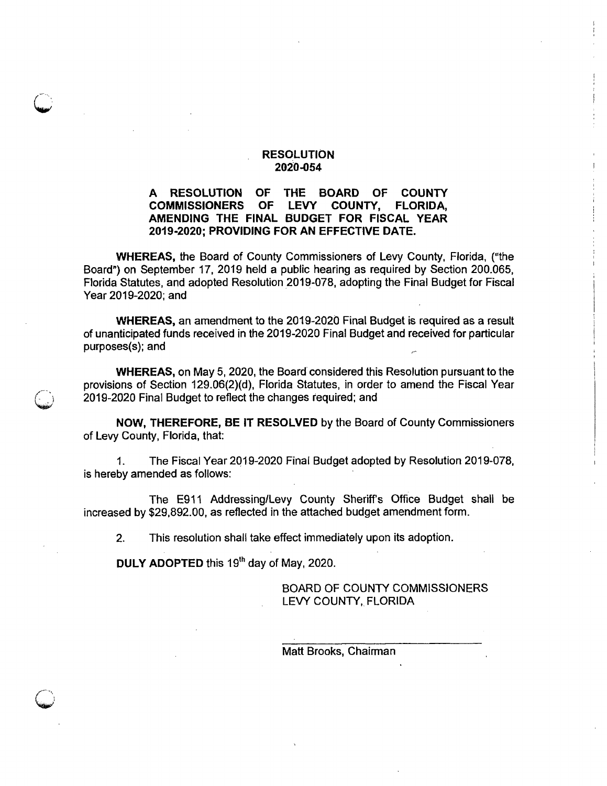#### RESOLUTION 2020-054

### A RESOLUTION OF THE BOARD OF COUNTY<br>COMMISSIONERS OF LEVY COUNTY, FLORIDA, **COMMISSIONERS** AMENDING THE FINAL BUDGET FOR FISCAL YEAR 2019-2020; PROVIDING FOR AN EFFECTIVE DATE.

WHEREAS, the Board of County Commissioners of Levy County, Florida, ("the Board") on September 17, 2019 held a public hearing as required by Section 200.065, Florida Statutes, and adopted Resolution 2019-078, adopting the Final Budget for Fiscal Year 2019-2020; and

WHEREAS, an amendment to the 2019-2020 Final Budget is required as a result of unanticipated funds received in the 2019-2020 Final Budget and received for particular purposes(s); and

WHEREAS, on May 5, 2020, the Board considered this Resolution pursuant to the provisions of Section 129.06(2)(d), Florida Statutes, in order to amend the Fiscal Year 2019-2020 Final Budget to reflect the changes required; and

NOW, THEREFORE, BE IT RESOLVED by the Board of County Commissioners of Levy County, Florida, that:

1. The Fiscal Year 2019-2020 Final Budget adopted by Resolution 2019-078, is hereby amended as follows:

The E911 Addressing/Levy County Sheriffs Office Budget shall be increased by \$29,892.00, as reflected in the attached budget amendment form.

2. This resolution shall take effect immediately upon its adoption.

DULY ADOPTED this 19<sup>th</sup> day of May, 2020.

BOARD OF COUNTY COMMISSIONERS LEVY COUNTY, FLORIDA

Matt Brooks, Chairman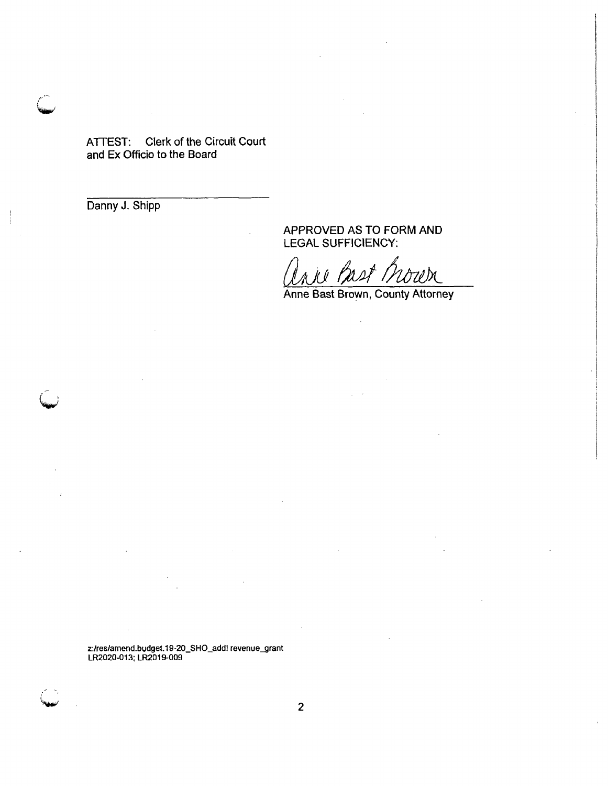ATTEST; Clerk of the Circuit Court and Ex Officio to the Board

Danny J. Shipp

APPROVED AS TO FORM AND LEGAL SUFFICIENCY;

<u>iv</u>

Anne Bast Brown, County Attorney

z:/res/amend.budget.19-20\_SHO\_addl revenue\_grant LR2020-013: LR2019-009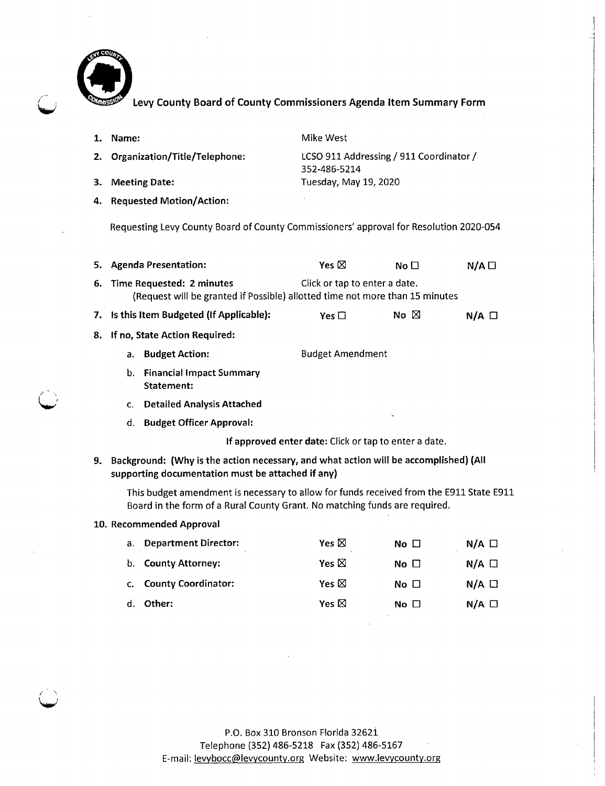

### Levy County Board of County Commissioners Agenda Item Summary Form

| 1. | Name: |                                                                                                                                           | Mike West                                               |                 |                 |
|----|-------|-------------------------------------------------------------------------------------------------------------------------------------------|---------------------------------------------------------|-----------------|-----------------|
| 2. |       | Organization/Title/Telephone:                                                                                                             | LCSO 911 Addressing / 911 Coordinator /<br>352-486-5214 |                 |                 |
| З. |       | <b>Meeting Date:</b>                                                                                                                      | Tuesday, May 19, 2020                                   |                 |                 |
| 4. |       | <b>Requested Motion/Action:</b>                                                                                                           |                                                         |                 |                 |
|    |       | Requesting Levy County Board of County Commissioners' approval for Resolution 2020-054                                                    |                                                         |                 |                 |
| 5. |       | <b>Agenda Presentation:</b>                                                                                                               | Yes $\boxtimes$                                         | No <sub>1</sub> | $N/A \Box$      |
| 6. |       | Time Requested: 2 minutes<br>(Request will be granted if Possible) allotted time not more than 15 minutes                                 | Click or tap to enter a date.                           |                 |                 |
| 7. |       | Is this Item Budgeted (If Applicable):                                                                                                    | Yes $\Box$                                              | No $\boxtimes$  | $N/A$ $\square$ |
| 8. |       | If no, State Action Required:                                                                                                             |                                                         |                 |                 |
|    | a.    | <b>Budget Action:</b>                                                                                                                     | <b>Budget Amendment</b>                                 |                 |                 |
|    |       | b. Financial Impact Summary<br>Statement:                                                                                                 |                                                         |                 |                 |
|    |       | c. Detailed Analysis Attached                                                                                                             |                                                         |                 |                 |
|    | d.    | <b>Budget Officer Approval:</b>                                                                                                           |                                                         | $\cdot$ .       |                 |
|    |       |                                                                                                                                           | If approved enter date: Click or tap to enter a date.   |                 |                 |
| 9. |       | Background: (Why is the action necessary, and what action will be accomplished) (All<br>supporting documentation must be attached if any) |                                                         |                 |                 |

This budget amendment is necessary to allow for funds received from the E911 State E911 Board in the form of a Rural County Grant. No matching funds are required.

#### 10. Recommended Approval

| a. | <b>Department Director:</b> | Yes $\boxtimes$ | No $\square$    | $N/A$ $\Box$    |
|----|-----------------------------|-----------------|-----------------|-----------------|
|    | b. County Attorney:         | Yes $\boxtimes$ | No $\Box$       | $N/A$ $\Box$    |
|    | c. County Coordinator:      | Yes $\boxtimes$ | $No$ $\Box$     | $N/A$ $\Box$    |
| d. | Other:                      | Yes $\boxtimes$ | No <sub>1</sub> | $N/A$ $\square$ |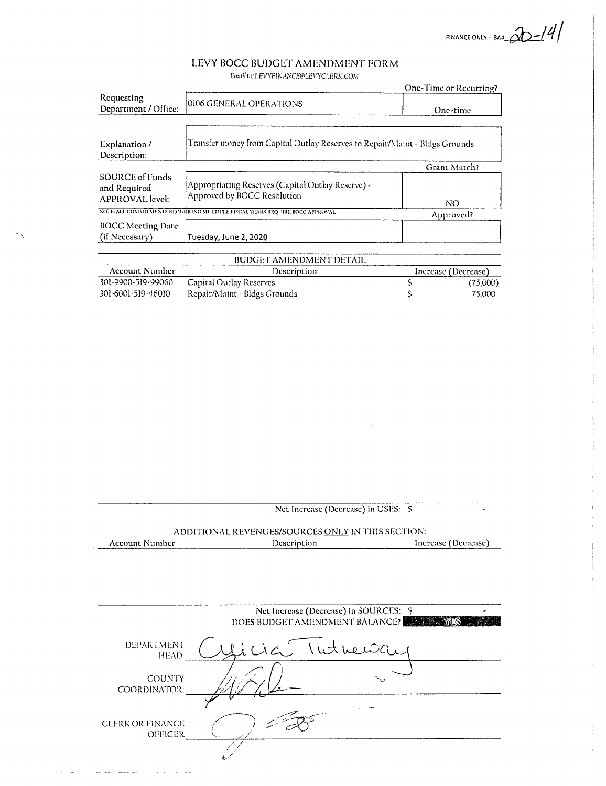FINANCE ONLY - BAH  $20-141$ 

### LEVY BOCC BUDGET AMENDMENT FORM Email to: LEVYFINANCE@LEVYCLERK.COM

|                                                                  |                                                                                  | One-Time or Recurring? |
|------------------------------------------------------------------|----------------------------------------------------------------------------------|------------------------|
| Requesting<br>Department / Office:                               | 0106 GENERAL OPERATIONS                                                          | One-time               |
|                                                                  |                                                                                  |                        |
| Explanation/<br>Description:                                     | Transfer money from Capital Outlay Reserves to Repair/Maint - Bldgs Grounds      |                        |
|                                                                  |                                                                                  | Grant Match?           |
| <b>SOURCE of Funds</b><br>and Required<br><b>APPROVAL</b> level: | Appropriating Reserves (Capital Outlay Reserve) -<br>Approved by BOCC Resolution | NO.                    |
|                                                                  | NOTE ALL COMMITMENTS RECURRING MULTIPLE FISCAL VEARS REQUIRE BOCC APPROVAL       | Approved?              |
| <b>BOCC Meeting Date</b><br>(if Necessary)                       | Tuesday, June 2, 2020                                                            |                        |
|                                                                  | BUDGET AMENDMENT DETAIL                                                          |                        |
| Aggainst Mundeau                                                 | Danastweiger                                                                     | 1.4.4.4.4.4.4.41       |

| Account Number     | Description.                 | Increase (Decrease) |
|--------------------|------------------------------|---------------------|
| 301-9900-519-99060 | Capital Outlay Reserves      | (75,000)            |
| 301-6001-519-46010 | Repair/Maint - Bldgs Grounds | 75,000              |

| Net Increase (Decrease) in USES: \$ |                                                   |                     |
|-------------------------------------|---------------------------------------------------|---------------------|
|                                     | ADDITIONAL REVENUES/SOURCES ONLY IN THIS SECTION: |                     |
| <b>Account Number</b>               | Description                                       | Increase (Decrease) |
|                                     |                                                   |                     |
|                                     |                                                   |                     |
|                                     |                                                   |                     |
|                                     | Net Increase (Decrease) in SOURCES: \$            |                     |
|                                     | DOES BUDGET AMENDMENT BALANCE?                    |                     |
|                                     |                                                   |                     |
| DEPARTMENT<br>HEAD:                 | icia Inthera                                      |                     |
|                                     |                                                   |                     |
| <b>COUNTY</b>                       |                                                   |                     |
| COORDINATOR:                        |                                                   |                     |
|                                     |                                                   |                     |
| <b>CLERK OR FINANCE</b>             |                                                   |                     |
| OFFICER                             |                                                   |                     |
|                                     |                                                   |                     |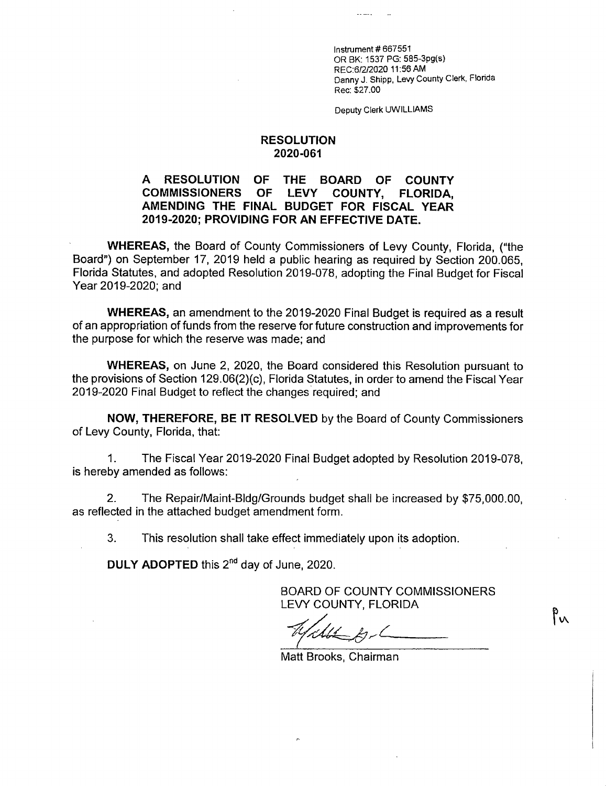Instrument # 667551 OR BK: 1537 PG; 5a5-3pg(s) REC:6/2/2020 11:56 AM Danny J, Shipp, Levy County Clerk, Florida Rec: \$27.00

Deputy Clerk UWILLIAMS

### RESOLUTION 2020-061

### A RESOLUTION OF THE BOARD OF COUNTY COMMISSIONERS OF LEVY COUNTY, FLORIDA, AMENDING THE FINAL BUDGET FOR FISCAL YEAR 2019-2020; PROVIDING FOR AN EFFECTIVE DATE.

WHEREAS, the Board of County Commissioners of Levy County, Florida, ("the Board") on September 17, 2019 held a public hearing as required by Section 200.065, Florida Statutes, and adopted Resolution 2019-078, adopting the Final Budget for Fiscal Year 2019-2020; and

WHEREAS, an amendment to the 2019-2020 Final Budget is required as a result of an appropriation of funds from the reserve for future construction and improvements for the purpose for which the reserve was made; and

WHEREAS, on June 2, 2020, the Board considered this Resolution pursuant to the provisions of Section 129.06(2)(c), Florida Statutes, in order to amend the Fiscal Year 2019-2020 Final Budget to reflect the changes required; and

NOW, THEREFORE, BE IT RESOLVED by the Board of County Commissioners of Levy County, Florida, that:

1. The Fiscal Year 2019-2020 Final Budget adopted by Resolution 2019-078, is hereby amended as follows:

2. The Repair/Maint-Bldg/Grounds budget shall be increased by \$75,000.00, as reflected in the attached budget amendment form.

3. This resolution shall take effect immediately upon its adoption.

DULY ADOPTED this 2<sup>nd</sup> day of June, 2020.

BOARD OF COUNTY COMMISSIONERS LEVY COUNTY, FLORIDA

p<br>In

Matt Brooks, Chairman